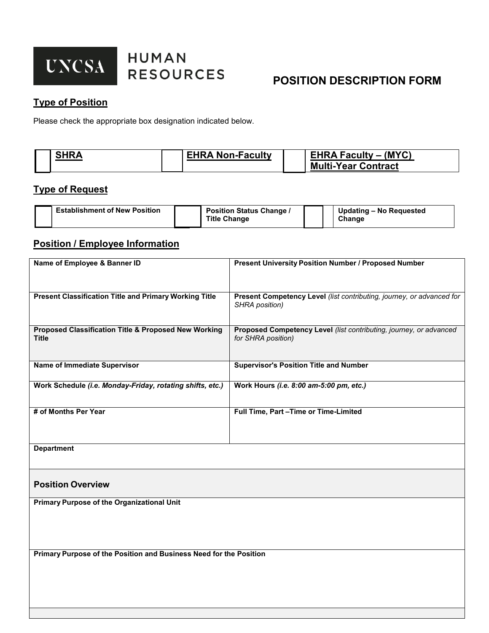

## **POSITION DESCRIPTION FORM**

## **Type of Position**

Please check the appropriate box designation indicated below.

| <b>SHRA</b> | <b>EHRA Non-Faculty</b> | <b>EHRA Faculty - (MYC)</b> |
|-------------|-------------------------|-----------------------------|
|             |                         | <b>Multi-Year Contract</b>  |

### **Type of Request**

| <b>Establishment of New Position</b> | <b>Position Status Change /</b><br><b>Title Change</b> |  | Updating - No Requested<br>Change |
|--------------------------------------|--------------------------------------------------------|--|-----------------------------------|
|                                      |                                                        |  |                                   |

## **Position / Employee Information**

| Name of Employee & Banner ID                                         | <b>Present University Position Number / Proposed Number</b>                              |  |  |  |  |
|----------------------------------------------------------------------|------------------------------------------------------------------------------------------|--|--|--|--|
| <b>Present Classification Title and Primary Working Title</b>        | Present Competency Level (list contributing, journey, or advanced for<br>SHRA position)  |  |  |  |  |
| Proposed Classification Title & Proposed New Working<br><b>Title</b> | Proposed Competency Level (list contributing, journey, or advanced<br>for SHRA position) |  |  |  |  |
| <b>Name of Immediate Supervisor</b>                                  | <b>Supervisor's Position Title and Number</b>                                            |  |  |  |  |
| Work Schedule (i.e. Monday-Friday, rotating shifts, etc.)            | Work Hours (i.e. 8:00 am-5:00 pm, etc.)                                                  |  |  |  |  |
| # of Months Per Year                                                 | Full Time, Part-Time or Time-Limited                                                     |  |  |  |  |
| <b>Department</b>                                                    |                                                                                          |  |  |  |  |
| <b>Position Overview</b>                                             |                                                                                          |  |  |  |  |
| Primary Purpose of the Organizational Unit                           |                                                                                          |  |  |  |  |
|                                                                      |                                                                                          |  |  |  |  |
| Primary Purpose of the Position and Business Need for the Position   |                                                                                          |  |  |  |  |
|                                                                      |                                                                                          |  |  |  |  |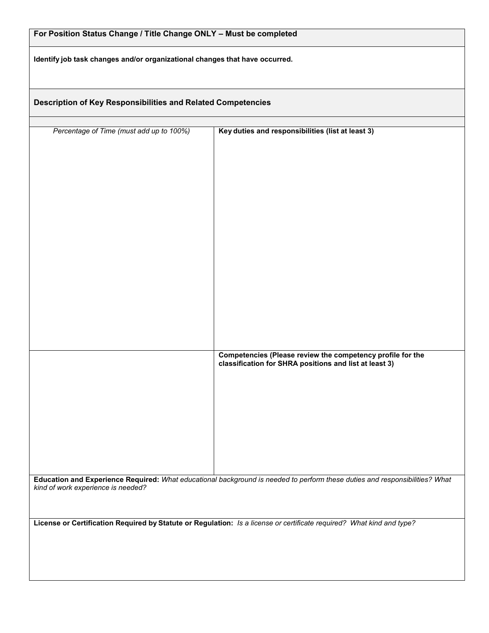| For Position Status Change / Title Change ONLY - Must be completed                                                                                                |                                                                                                                      |  |  |  |  |
|-------------------------------------------------------------------------------------------------------------------------------------------------------------------|----------------------------------------------------------------------------------------------------------------------|--|--|--|--|
| Identify job task changes and/or organizational changes that have occurred.                                                                                       |                                                                                                                      |  |  |  |  |
| Description of Key Responsibilities and Related Competencies                                                                                                      |                                                                                                                      |  |  |  |  |
| Percentage of Time (must add up to 100%)<br>Key duties and responsibilities (list at least 3)                                                                     |                                                                                                                      |  |  |  |  |
|                                                                                                                                                                   |                                                                                                                      |  |  |  |  |
|                                                                                                                                                                   |                                                                                                                      |  |  |  |  |
|                                                                                                                                                                   |                                                                                                                      |  |  |  |  |
|                                                                                                                                                                   |                                                                                                                      |  |  |  |  |
|                                                                                                                                                                   |                                                                                                                      |  |  |  |  |
|                                                                                                                                                                   |                                                                                                                      |  |  |  |  |
|                                                                                                                                                                   | Competencies (Please review the competency profile for the<br>classification for SHRA positions and list at least 3) |  |  |  |  |
|                                                                                                                                                                   |                                                                                                                      |  |  |  |  |
|                                                                                                                                                                   |                                                                                                                      |  |  |  |  |
|                                                                                                                                                                   |                                                                                                                      |  |  |  |  |
| Education and Experience Required: What educational background is needed to perform these duties and responsibilities? What<br>kind of work experience is needed? |                                                                                                                      |  |  |  |  |
| License or Certification Required by Statute or Regulation: Is a license or certificate required? What kind and type?                                             |                                                                                                                      |  |  |  |  |
|                                                                                                                                                                   |                                                                                                                      |  |  |  |  |
|                                                                                                                                                                   |                                                                                                                      |  |  |  |  |
|                                                                                                                                                                   |                                                                                                                      |  |  |  |  |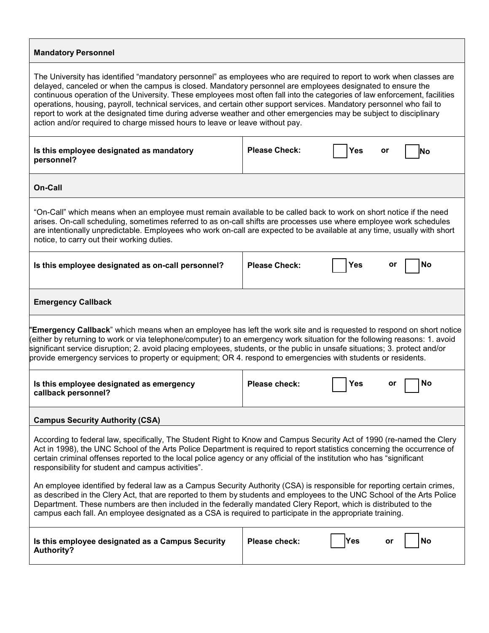#### **Mandatory Personnel**

The University has identified "mandatory personnel" as employees who are required to report to work when classes are delayed, canceled or when the campus is closed. Mandatory personnel are employees designated to ensure the continuous operation of the University. These employees most often fall into the categories of law enforcement, facilities operations, housing, payroll, technical services, and certain other support services. Mandatory personnel who fail to report to work at the designated time during adverse weather and other emergencies may be subject to disciplinary action and/or required to charge missed hours to leave or leave without pay.

| Is this employee designated as mandatory<br>personnel?                                                                                                                                                                                                                                                                                                                                                                                                                                            | <b>Please Check:</b> | Yes | or<br>No        |  |  |  |  |
|---------------------------------------------------------------------------------------------------------------------------------------------------------------------------------------------------------------------------------------------------------------------------------------------------------------------------------------------------------------------------------------------------------------------------------------------------------------------------------------------------|----------------------|-----|-----------------|--|--|--|--|
| <b>On-Call</b>                                                                                                                                                                                                                                                                                                                                                                                                                                                                                    |                      |     |                 |  |  |  |  |
| "On-Call" which means when an employee must remain available to be called back to work on short notice if the need<br>arises. On-call scheduling, sometimes referred to as on-call shifts are processes use where employee work schedules<br>are intentionally unpredictable. Employees who work on-call are expected to be available at any time, usually with short<br>notice, to carry out their working duties.                                                                               |                      |     |                 |  |  |  |  |
| Is this employee designated as on-call personnel?                                                                                                                                                                                                                                                                                                                                                                                                                                                 | <b>Please Check:</b> | Yes | <b>No</b><br>or |  |  |  |  |
| <b>Emergency Callback</b>                                                                                                                                                                                                                                                                                                                                                                                                                                                                         |                      |     |                 |  |  |  |  |
| "Emergency Callback" which means when an employee has left the work site and is requested to respond on short notice<br>either by returning to work or via telephone/computer) to an emergency work situation for the following reasons: 1. avoid<br>significant service disruption; 2. avoid placing employees, students, or the public in unsafe situations; 3. protect and/or<br>provide emergency services to property or equipment; OR 4. respond to emergencies with students or residents. |                      |     |                 |  |  |  |  |
| Is this employee designated as emergency<br>callback personnel?                                                                                                                                                                                                                                                                                                                                                                                                                                   | Please check:        | Yes | No<br>or        |  |  |  |  |
| <b>Campus Security Authority (CSA)</b>                                                                                                                                                                                                                                                                                                                                                                                                                                                            |                      |     |                 |  |  |  |  |
| According to federal law, specifically, The Student Right to Know and Campus Security Act of 1990 (re-named the Clery<br>Act in 1998), the UNC School of the Arts Police Department is required to report statistics concerning the occurrence of<br>certain criminal offenses reported to the local police agency or any official of the institution who has "significant<br>responsibility for student and campus activities".                                                                  |                      |     |                 |  |  |  |  |
| An employee identified by federal law as a Campus Security Authority (CSA) is responsible for reporting certain crimes,<br>as described in the Clery Act, that are reported to them by students and employees to the UNC School of the Arts Police<br>Department. These numbers are then included in the federally mandated Clery Report, which is distributed to the<br>campus each fall. An employee designated as a CSA is required to participate in the appropriate training.                |                      |     |                 |  |  |  |  |

| Is this employee designated as a Campus Security<br><b>Authority?</b> | Please check: | Yes | No |
|-----------------------------------------------------------------------|---------------|-----|----|
|                                                                       |               |     |    |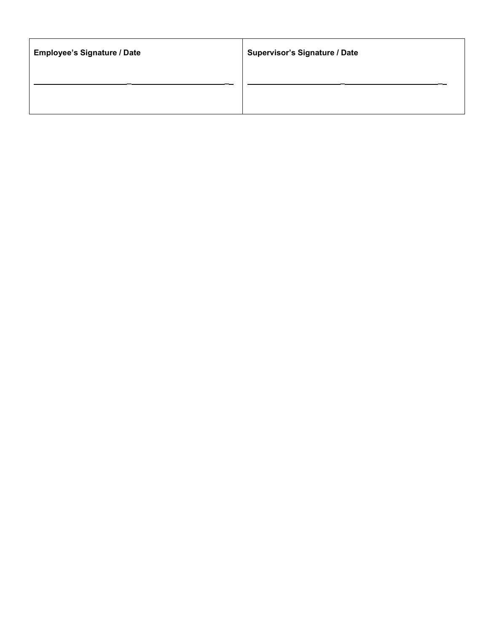| <b>Employee's Signature / Date</b> | <b>Supervisor's Signature / Date</b> |
|------------------------------------|--------------------------------------|
|                                    |                                      |
|                                    |                                      |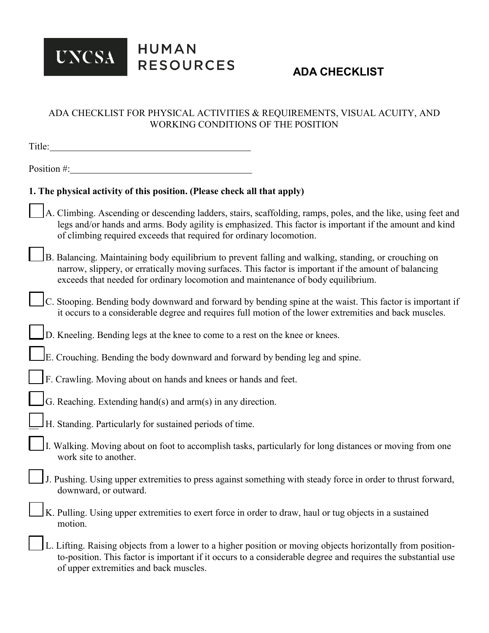

# **ADA CHECKLIST**

### ADA CHECKLIST FOR PHYSICAL ACTIVITIES & REQUIREMENTS, VISUAL ACUITY, AND WORKING CONDITIONS OF THE POSITION

Title:

Position #:

| 1. The physical activity of this position. (Please check all that apply)                                                                                                                                                                                                                          |
|---------------------------------------------------------------------------------------------------------------------------------------------------------------------------------------------------------------------------------------------------------------------------------------------------|
| A. Climbing. Ascending or descending ladders, stairs, scaffolding, ramps, poles, and the like, using feet and<br>legs and/or hands and arms. Body agility is emphasized. This factor is important if the amount and kind<br>of climbing required exceeds that required for ordinary locomotion.   |
| B. Balancing. Maintaining body equilibrium to prevent falling and walking, standing, or crouching on<br>narrow, slippery, or erratically moving surfaces. This factor is important if the amount of balancing<br>exceeds that needed for ordinary locomotion and maintenance of body equilibrium. |
| C. Stooping. Bending body downward and forward by bending spine at the waist. This factor is important if<br>it occurs to a considerable degree and requires full motion of the lower extremities and back muscles.                                                                               |
| D. Kneeling. Bending legs at the knee to come to a rest on the knee or knees.                                                                                                                                                                                                                     |
| E. Crouching. Bending the body downward and forward by bending leg and spine.                                                                                                                                                                                                                     |
| F. Crawling. Moving about on hands and knees or hands and feet.                                                                                                                                                                                                                                   |
| G. Reaching. Extending hand(s) and arm(s) in any direction.                                                                                                                                                                                                                                       |
| H. Standing. Particularly for sustained periods of time.                                                                                                                                                                                                                                          |
| I. Walking. Moving about on foot to accomplish tasks, particularly for long distances or moving from one<br>work site to another.                                                                                                                                                                 |
| J. Pushing. Using upper extremities to press against something with steady force in order to thrust forward,<br>downward, or outward.                                                                                                                                                             |
| K. Pulling. Using upper extremities to exert force in order to draw, haul or tug objects in a sustained<br>motion.                                                                                                                                                                                |
| Lifting. Raising objects from a lower to a higher position or moving objects horizontally from position-<br>to-position. This factor is important if it occurs to a considerable degree and requires the substantial use<br>of upper extremities and back muscles.                                |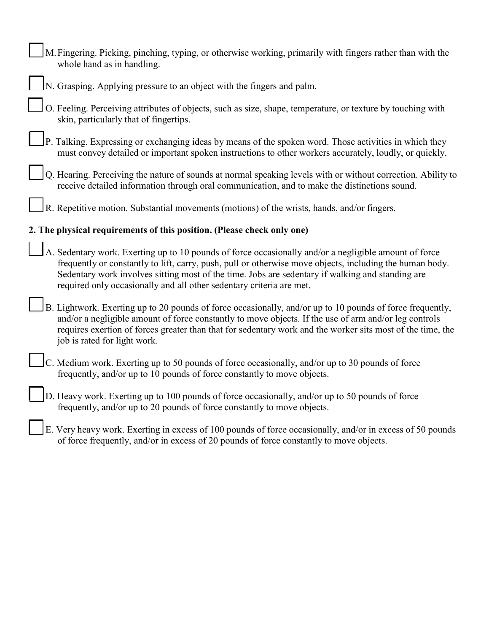| whole hand as in handling.             | M. Fingering. Picking, pinching, typing, or otherwise working, primarily with fingers rather than with the                                                                                                                                                                                                                                                                                    |
|----------------------------------------|-----------------------------------------------------------------------------------------------------------------------------------------------------------------------------------------------------------------------------------------------------------------------------------------------------------------------------------------------------------------------------------------------|
|                                        | N. Grasping. Applying pressure to an object with the fingers and palm.                                                                                                                                                                                                                                                                                                                        |
| skin, particularly that of fingertips. | O. Feeling. Perceiving attributes of objects, such as size, shape, temperature, or texture by touching with                                                                                                                                                                                                                                                                                   |
|                                        | P. Talking. Expressing or exchanging ideas by means of the spoken word. Those activities in which they<br>must convey detailed or important spoken instructions to other workers accurately, loudly, or quickly.                                                                                                                                                                              |
|                                        | Q. Hearing. Perceiving the nature of sounds at normal speaking levels with or without correction. Ability to<br>receive detailed information through oral communication, and to make the distinctions sound.                                                                                                                                                                                  |
|                                        | R. Repetitive motion. Substantial movements (motions) of the wrists, hands, and/or fingers.                                                                                                                                                                                                                                                                                                   |
|                                        | 2. The physical requirements of this position. (Please check only one)                                                                                                                                                                                                                                                                                                                        |
|                                        | A. Sedentary work. Exerting up to 10 pounds of force occasionally and/or a negligible amount of force<br>frequently or constantly to lift, carry, push, pull or otherwise move objects, including the human body.<br>Sedentary work involves sitting most of the time. Jobs are sedentary if walking and standing are<br>required only occasionally and all other sedentary criteria are met. |
| job is rated for light work.           | B. Lightwork. Exerting up to 20 pounds of force occasionally, and/or up to 10 pounds of force frequently,<br>and/or a negligible amount of force constantly to move objects. If the use of arm and/or leg controls<br>requires exertion of forces greater than that for sedentary work and the worker sits most of the time, the                                                              |
|                                        | C. Medium work. Exerting up to 50 pounds of force occasionally, and/or up to 30 pounds of force<br>frequently, and/or up to 10 pounds of force constantly to move objects.                                                                                                                                                                                                                    |
|                                        | D. Heavy work. Exerting up to 100 pounds of force occasionally, and/or up to 50 pounds of force<br>frequently, and/or up to 20 pounds of force constantly to move objects.                                                                                                                                                                                                                    |
|                                        | E. Very heavy work. Exerting in excess of 100 pounds of force occasionally, and/or in excess of 50 pounds<br>of force frequently, and/or in excess of 20 pounds of force constantly to move objects.                                                                                                                                                                                          |